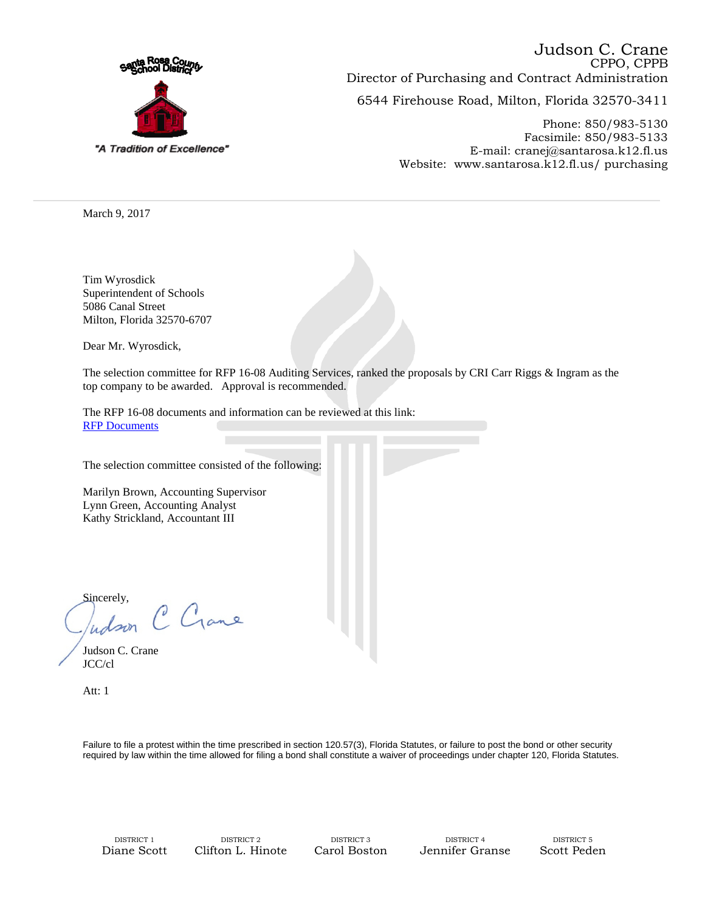

6544 Firehouse Road, Milton, Florida 32570-3411 CPPO, CPPB Director of Purchasing and Contract Administration Judson C. Crane

> Phone: 850/983-5130 Facsimile: 850/983-5133 E-mail: cranej@santarosa.k12.fl.us Website: www.santarosa.k12.fl.us/ purchasing

March 9, 2017

Tim Wyrosdick Superintendent of Schools 5086 Canal Street Milton, Florida 32570-6707

Dear Mr. Wyrosdick,

The selection committee for RFP 16-08 Auditing Services, ranked the proposals by CRI Carr Riggs & Ingram as the top company to be awarded. Approval is recommended.

The RFP 16-08 documents and information can be reviewed at this link: [RFP Documents](https://sites.santarosa.k12.fl.us/purchasing/bids/2016/16-08_Auditing_svs/RFP16-08AuditingServices.htm)

The selection committee consisted of the following:

Marilyn Brown, Accounting Supervisor Lynn Green, Accounting Analyst Kathy Strickland, Accountant III

Sincerely, C Gane udson

Judson C. Crane JCC/cl

Att: 1

Failure to file a protest within the time prescribed in section 120.57(3), Florida Statutes, or failure to post the bond or other security required by law within the time allowed for filing a bond shall constitute a waiver of proceedings under chapter 120, Florida Statutes.

DISTRICT 1 DISTRICT 2 DISTRICT 3 DISTRICT 4 DISTRICT 5 Diane Scott Clifton L. Hinote Carol Boston Jennifer Granse Scott Peden